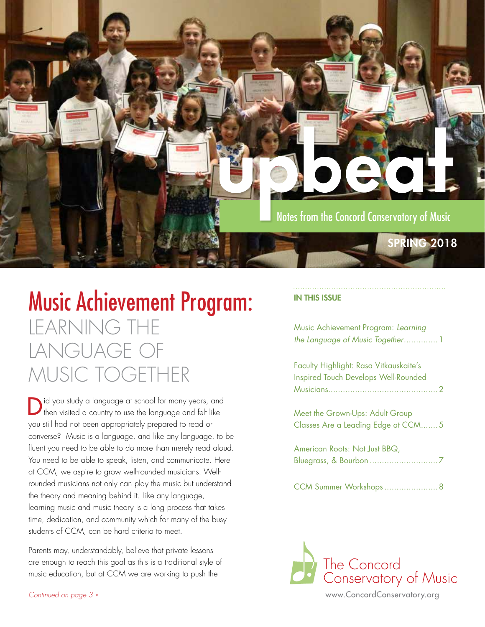

# Music Achievement Program: LEARNING THE LANGUAGE OF MUSIC TOGETHER

Did you study a language at school for many years, and then visited a country to use the language and felt like you still had not been appropriately prepared to read or converse? Music is a language, and like any language, to be fluent you need to be able to do more than merely read aloud. You need to be able to speak, listen, and communicate. Here at CCM, we aspire to grow well-rounded musicians. Wellrounded musicians not only can play the music but understand the theory and meaning behind it. Like any language, learning music and music theory is a long process that takes time, dedication, and community which for many of the busy students of CCM, can be hard criteria to meet.

Parents may, understandably, believe that private lessons are enough to reach this goal as this is a traditional style of music education, but at CCM we are working to push the

### IN THIS ISSUE

Music Achievement Program: *Learning the Language of Music Together*..............1

Faculty Highlight: Rasa Vitkauskaite's Inspired Touch Develops Well-Rounded Musicians.............................................2

Meet the Grown-Ups: Adult Group Classes Are a Leading Edge at CCM.......5

American Roots: Not Just BBQ, Bluegrass, & Bourbon ............................7

CCM Summer Workshops......................8

The Concord Conservatory of Music

www.ConcordConservatory.org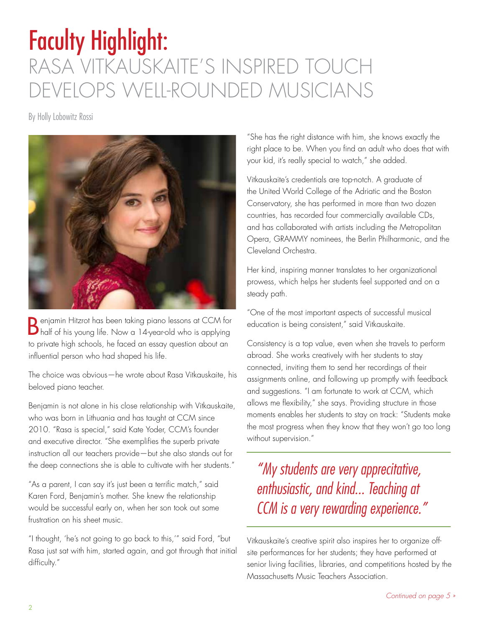# Faculty Highlight: RASA VITKAUSKAITE'S INSPIRED TOUCH DEVELOPS WELL-ROUNDED MUSICIANS

By Holly Lobowitz Rossi



Benjamin Hitzrot has been taking piano lessons at CCM for half of his young life. Now a 14-year-old who is applying to private high schools, he faced an essay question about an influential person who had shaped his life.

The choice was obvious—he wrote about Rasa Vitkauskaite, his beloved piano teacher.

Benjamin is not alone in his close relationship with Vitkauskaite, who was born in Lithuania and has taught at CCM since 2010. "Rasa is special," said Kate Yoder, CCM's founder and executive director. "She exemplifies the superb private instruction all our teachers provide—but she also stands out for the deep connections she is able to cultivate with her students."

"As a parent, I can say it's just been a terrific match," said Karen Ford, Benjamin's mother. She knew the relationship would be successful early on, when her son took out some frustration on his sheet music.

"I thought, 'he's not going to go back to this,'" said Ford, "but Rasa just sat with him, started again, and got through that initial difficulty."

"She has the right distance with him, she knows exactly the right place to be. When you find an adult who does that with your kid, it's really special to watch," she added.

Vitkauskaite's credentials are top-notch. A graduate of the United World College of the Adriatic and the Boston Conservatory, she has performed in more than two dozen countries, has recorded four commercially available CDs, and has collaborated with artists including the Metropolitan Opera, GRAMMY nominees, the Berlin Philharmonic, and the Cleveland Orchestra.

Her kind, inspiring manner translates to her organizational prowess, which helps her students feel supported and on a steady path.

"One of the most important aspects of successful musical education is being consistent," said Vitkauskaite.

Consistency is a top value, even when she travels to perform abroad. She works creatively with her students to stay connected, inviting them to send her recordings of their assignments online, and following up promptly with feedback and suggestions. "I am fortunate to work at CCM, which allows me flexibility," she says. Providing structure in those moments enables her students to stay on track: "Students make the most progress when they know that they won't go too long without supervision."

*"My students are very apprecitative, enthusiastic, and kind... Teaching at CCM is a very rewarding experience."*

Vitkauskaite's creative spirit also inspires her to organize offsite performances for her students; they have performed at senior living facilities, libraries, and competitions hosted by the Massachusetts Music Teachers Association.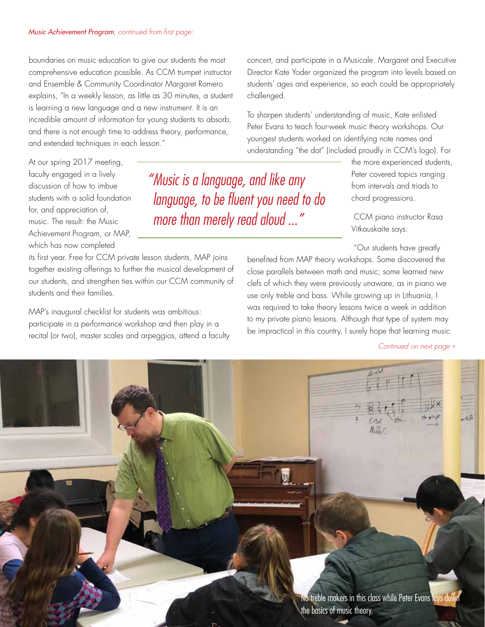boundaries on music education to give our students the most comprehensive education possible. As CCM trumpet instructor and Ensemble & Community Coordinator Margaret Romero explains, "In a weekly lesson, as little as 30 minutes, a student is learning a new language and a new instrument. It is an incredible amount of information for young students to absorb, and there is not enough time to address theory, performance, and extended techniques in each lesson."

At our spring 2017 meeting, faculty engaged in a lively discussion of how to imbue students with a solid foundation for, and appreciation of, music. The result: the Music Achievement Program, or MAP, which has now completed

*"Music is a language, and like any language, to be fluent you need to do more than merely read aloud ..."*

its first year. Free for CCM private lesson students, MAP joins together existing offerings to further the musical development of our students, and strengthen ties within our CCM community of students and their families.

MAP's inaugural checklist for students was ambitious: participate in a performance workshop and then play in a recital (or two), master scales and arpeggios, attend a faculty concert, and participate in a Musicale. Margaret and Executive Director Kate Yoder organized the program into levels based on students' ages and experience, so each could be appropriately challenged.

To sharpen students' understanding of music, Kate enlisted Peter Evans to teach four-week music theory workshops. Our youngest students worked on identifying note names and understanding "the dot" (included proudly in CCM's logo). For

> the more experienced students, Peter covered topics ranging from intervals and triads to chord progressions.

 CCM piano instructor Rasa Vitkauskaite says:

"Our students have greatly

benefited from MAP theory workshops. Some discovered the close parallels between math and music; some learned new clefs of which they were previously unaware, as in piano we use only treble and bass. While growing up in Lithuania, I was required to take theory lessons twice a week in addition to my private piano lessons. Although that type of system may be impractical in this country, I surely hope that learning music

*Continued on next page »* 

 $41, 51$  $N_i$ No treble makers in this class while Peter Evans lays do 3 the basics of music theory.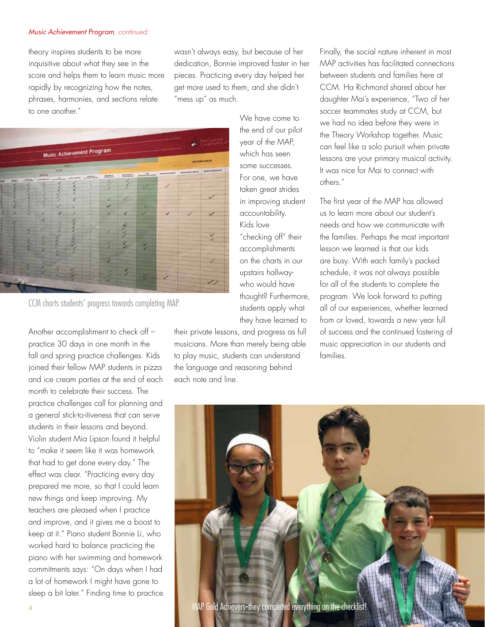### *Music Achievement Program, continued:*

theory inspires students to be more inquisitive about what they see in the score and helps them to learn music more rapidly by recognizing how the notes, phrases, harmonies, and sections relate to one another."

wasn't always easy, but because of her dedication, Bonnie improved faster in her pieces. Practicing every day helped her get more used to them, and she didn't "mess up" as much.



CCM charts students' progress towards completing MAP.

Another accomplishment to check off – practice 30 days in one month in the fall and spring practice challenges. Kids joined their fellow MAP students in pizza and ice cream parties at the end of each month to celebrate their success. The practice challenges call for planning and a general stick-to-itiveness that can serve students in their lessons and beyond. Violin student Mia Lipson found it helpful to "make it seem like it was homework that had to get done every day." The effect was clear. "Practicing every day prepared me more, so that I could learn new things and keep improving. My teachers are pleased when I practice and improve, and it gives me a boost to keep at it." Piano student Bonnie Li, who worked hard to balance practicing the piano with her swimming and homework commitments says: "On days when I had a lot of homework I might have gone to sleep a bit later." Finding time to practice We have come to the end of our pilot year of the MAP, which has seen some successes. For one, we have taken great strides in improving student accountability. Kids love "checking off" their accomplishments on the charts in our upstairs hallwaywho would have thought? Furthermore, students apply what they have learned to

their private lessons, and progress as full musicians. More than merely being able to play music, students can understand the language and reasoning behind each note and line.

Finally, the social nature inherent in most MAP activities has facilitated connections between students and families here at CCM. Ha Richmond shared about her daughter Mai's experience, "Two of her soccer teammates study at CCM, but we had no idea before they were in the Theory Workshop together. Music can feel like a solo pursuit when private lessons are your primary musical activity. It was nice for Mai to connect with others."

The first year of the MAP has allowed us to learn more about our student's needs and how we communicate with the families. Perhaps the most important lesson we learned is that our kids are busy. With each family's packed schedule, it was not always possible for all of the students to complete the program. We look forward to putting all of our experiences, whether learned from or loved, towards a new year full of success and the continued fostering of music appreciation in our students and families.

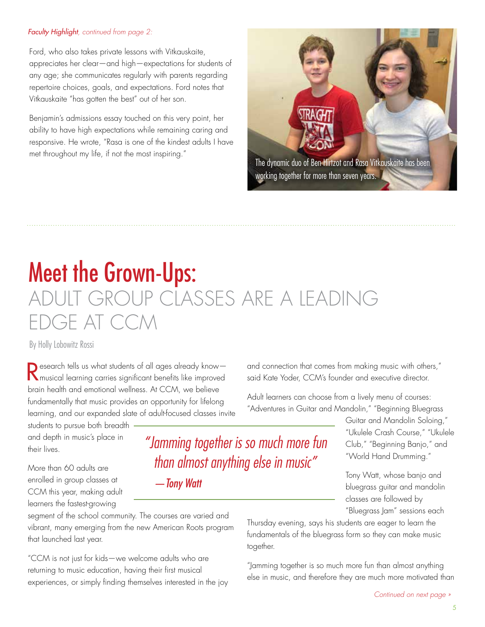### *Faculty Highlight, continued from page 2:*

Ford, who also takes private lessons with Vitkauskaite, appreciates her clear—and high—expectations for students of any age; she communicates regularly with parents regarding repertoire choices, goals, and expectations. Ford notes that Vitkauskaite "has gotten the best" out of her son.

Benjamin's admissions essay touched on this very point, her ability to have high expectations while remaining caring and responsive. He wrote, "Rasa is one of the kindest adults I have met throughout my life, if not the most inspiring."



# Meet the Grown-Ups: ADULT GROUP CLASSES ARE A LEADING EDGE AT CCM

By Holly Lobowitz Rossi

Research tells us what students of all ages already knowmusical learning carries significant benefits like improved brain health and emotional wellness. At CCM, we believe fundamentally that music provides an opportunity for lifelong learning, and our expanded slate of adult-focused classes invite

students to pursue both breadth and depth in music's place in their lives.

More than 60 adults are enrolled in group classes at CCM this year, making adult learners the fastest-growing

segment of the school community. The courses are varied and vibrant, many emerging from the new American Roots program that launched last year.

"CCM is not just for kids—we welcome adults who are returning to music education, having their first musical experiences, or simply finding themselves interested in the joy and connection that comes from making music with others," said Kate Yoder, CCM's founder and executive director.

Adult learners can choose from a lively menu of courses: "Adventures in Guitar and Mandolin," "Beginning Bluegrass

> Guitar and Mandolin Soloing," "Ukulele Crash Course," "Ukulele Club," "Beginning Banjo," and "World Hand Drumming."

Tony Watt, whose banjo and bluegrass guitar and mandolin classes are followed by "Bluegrass Jam" sessions each

Thursday evening, says his students are eager to learn the fundamentals of the bluegrass form so they can make music together.

"Jamming together is so much more fun than almost anything else in music, and therefore they are much more motivated than

*"Jamming together is so much more fun than almost anything else in music"*

*—Tony Watt*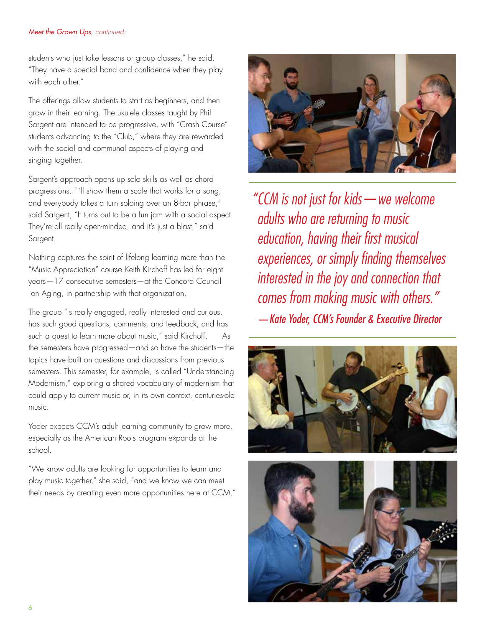### *Meet the Grown-Ups, continued:*

students who just take lessons or group classes," he said. "They have a special bond and confidence when they play with each other."

The offerings allow students to start as beginners, and then grow in their learning. The ukulele classes taught by Phil Sargent are intended to be progressive, with "Crash Course" students advancing to the "Club," where they are rewarded with the social and communal aspects of playing and singing together.

Sargent's approach opens up solo skills as well as chord progressions. "I'll show them a scale that works for a song, and everybody takes a turn soloing over an 8-bar phrase," said Sargent, "It turns out to be a fun jam with a social aspect. They're all really open-minded, and it's just a blast," said Sargent.

Nothing captures the spirit of lifelong learning more than the "Music Appreciation" course Keith Kirchoff has led for eight years—17 consecutive semesters—at the Concord Council on Aging, in partnership with that organization.

The group "is really engaged, really interested and curious, has such good questions, comments, and feedback, and has such a quest to learn more about music," said Kirchoff. As the semesters have progressed—and so have the students—the topics have built on questions and discussions from previous semesters. This semester, for example, is called "Understanding Modernism," exploring a shared vocabulary of modernism that could apply to current music or, in its own context, centuries-old music.

Yoder expects CCM's adult learning community to grow more, especially as the American Roots program expands at the school.

"We know adults are looking for opportunities to learn and play music together," she said, "and we know we can meet their needs by creating even more opportunities here at CCM."



*"CCM is not just for kids—we welcome adults who are returning to music education, having their first musical experiences, or simply finding themselves interested in the joy and connection that comes from making music with others." —Kate Yoder, CCM's Founder & Executive Director*



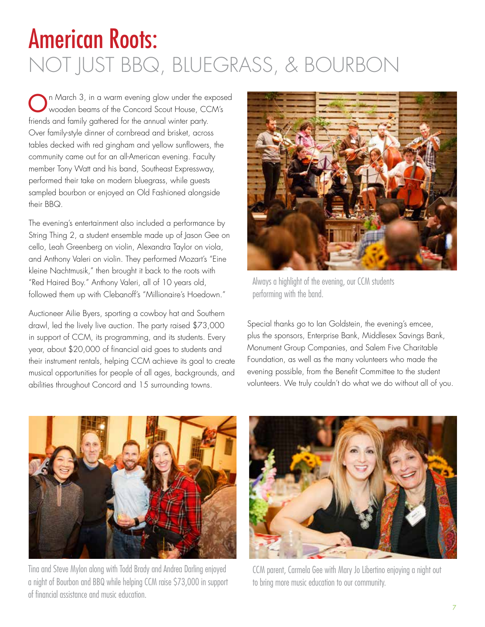# American Roots: NOT JUST BBQ, BLUEGRASS, & BOURBON

On March 3, in a warm evening glow under the exposed wooden beams of the Concord Scout House, CCM's friends and family gathered for the annual winter party. Over family-style dinner of cornbread and brisket, across tables decked with red gingham and yellow sunflowers, the community came out for an all-American evening. Faculty member Tony Watt and his band, Southeast Expressway, performed their take on modern bluegrass, while guests sampled bourbon or enjoyed an Old Fashioned alongside their BBQ.

The evening's entertainment also included a performance by String Thing 2, a student ensemble made up of Jason Gee on cello, Leah Greenberg on violin, Alexandra Taylor on viola, and Anthony Valeri on violin. They performed Mozart's "Eine kleine Nachtmusik," then brought it back to the roots with "Red Haired Boy." Anthony Valeri, all of 10 years old, followed them up with Clebanoff's "Millionaire's Hoedown."

Auctioneer Ailie Byers, sporting a cowboy hat and Southern drawl, led the lively live auction. The party raised \$73,000 in support of CCM, its programming, and its students. Every year, about \$20,000 of financial aid goes to students and their instrument rentals, helping CCM achieve its goal to create musical opportunities for people of all ages, backgrounds, and abilities throughout Concord and 15 surrounding towns.



Always a highlight of the evening, our CCM students performing with the band.

Special thanks go to Ian Goldstein, the evening's emcee, plus the sponsors, Enterprise Bank, Middlesex Savings Bank, Monument Group Companies, and Salem Five Charitable Foundation, as well as the many volunteers who made the evening possible, from the Benefit Committee to the student volunteers. We truly couldn't do what we do without all of you.



Tina and Steve Mylon along with Todd Brady and Andrea Darling enjoyed a night of Bourbon and BBQ while helping CCM raise \$73,000 in support of financial assistance and music education.



CCM parent, Carmela Gee with Mary Jo Libertino enjoying a night out to bring more music education to our community.